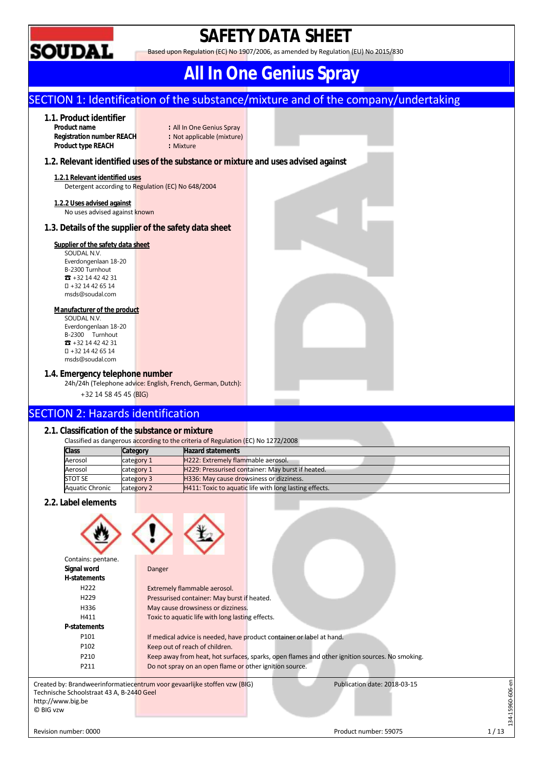

# **SAFETY DATA SHEET**

Based upon Regulation (EC) No 1907/2006, as amended by Regulation (EU) No 2015/830

# **All In One Genius Spray**

## SECTION 1: Identification of the substance/mixture and of the company/undertaking

## **1.1. Product identifier**

**Registration number REACH :** Not applicable (mixture) **Product type REACH : Mixture** 

**Product name :** All In One Genius Spray

## **1.2. Relevant identified uses of the substance or mixture and uses advised against**

#### **1.2.1 Relevant identified uses**  Detergent according to Regulation (EC) No 648/2004

**1.2.2 Uses advised against** 

No uses advised against known

## **1.3. Details of the supplier of the safety data sheet**

## **Supplier of the safety data sheet**

SOUDAL N.V. Everdongenlaan 18-20 B-2300 Turnhout ☎ +32 14 42 42 31 +32 14 42 65 14 msds@soudal.com

### **Manufacturer of the product**

SOUDAL N.V. Everdongenlaan 18-20 B-2300 Turnhout ☎ +32 14 42 42 31 +32 14 42 65 14 msds@soudal.com

## **1.4. Emergency telephone number**

24h/24h (Telephone advice: English, French, German, Dutch): +32 14 58 45 45 (BIG)

## SECTION 2: Hazards identification

## **2.1. Classification of the substance or mixture**

| Classified as dangerous according to the criteria of Regulation (EC) No 1272/2008 |            |                                                        |  |  |  |  |  |  |
|-----------------------------------------------------------------------------------|------------|--------------------------------------------------------|--|--|--|--|--|--|
| <b>Class</b>                                                                      | Category   | <b>Hazard statements</b>                               |  |  |  |  |  |  |
| Aerosol                                                                           | category 1 | H222: Extremely flammable aerosol.                     |  |  |  |  |  |  |
| Aerosol                                                                           | category 1 | H229: Pressurised container: May burst if heated.      |  |  |  |  |  |  |
| <b>STOT SE</b>                                                                    | category 3 | H336: May cause drowsiness or dizziness.               |  |  |  |  |  |  |
| <b>Aquatic Chronic</b>                                                            | category 2 | H411: Toxic to aquatic life with long lasting effects. |  |  |  |  |  |  |

## **2.2. Label elements**



| Contains: pentane.                        |                                                                                                           |  |
|-------------------------------------------|-----------------------------------------------------------------------------------------------------------|--|
| Signal word                               | Danger                                                                                                    |  |
| H-statements                              |                                                                                                           |  |
| H <sub>222</sub>                          | Extremely flammable aerosol.                                                                              |  |
| H <sub>229</sub>                          | Pressurised container: May burst if heated.                                                               |  |
| H336                                      | May cause drowsiness or dizziness.                                                                        |  |
| H411                                      | Toxic to aquatic life with long lasting effects.                                                          |  |
| P-statements                              |                                                                                                           |  |
| P101                                      | If medical advice is needed, have product container or label at hand.                                     |  |
| P102                                      | Keep out of reach of children.                                                                            |  |
| P210                                      | Keep away from heat, hot surfaces, sparks, open flames and other ignition sources. No smoking.            |  |
| P211                                      | Do not spray on an open flame or other ignition source.                                                   |  |
|                                           | Created by: Brandweerinformatiecentrum voor gevaarlijke stoffen vzw (BIG)<br>Publication date: 2018-03-15 |  |
| Technische Schoolstraat 43 A, B-2440 Geel |                                                                                                           |  |
| http://www.big.be<br>© BIG vzw            |                                                                                                           |  |
|                                           |                                                                                                           |  |
|                                           |                                                                                                           |  |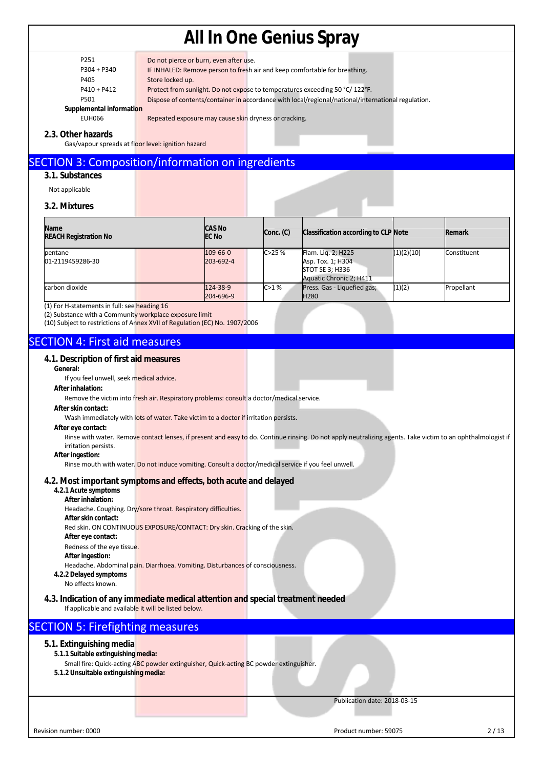| . .<br>۰. |  |
|-----------|--|
|           |  |

P304 + P340 IF INHALED: Remove person to fresh air and keep comfortable for breathing.

Do not pierce or burn, even after use.

P405 Store locked up.

P410 + P412 Protect from sunlight. Do not expose to temperatures exceeding 50 °C/ 122°F.

P501 Dispose of contents/container in accordance with local/regional/national/international regulation.

**Supplemental information** 

EUH066 Repeated exposure may cause skin dryness or cracking.

### **2.3. Other hazards**

Gas/vapour spreads at floor level: ignition hazard

## SECTION 3: Composition/information on ingredients

## **3.1. Substances**

Not applicable

### **3.2. Mixtures**

| Name<br><b>REACH Registration No</b> |  | <b>CAS No</b><br><b>EC No</b> |  | Conc. (C) | <b>Classification according to CLP Note</b>                                           |            | Remark      |  |
|--------------------------------------|--|-------------------------------|--|-----------|---------------------------------------------------------------------------------------|------------|-------------|--|
| pentane<br>01-2119459286-30          |  | 109-66-0<br>203-692-4         |  | C>25%     | Flam. Lig. 2; H225<br>Asp. Tox. 1; H304<br>STOT SE 3; H336<br>Aquatic Chronic 2; H411 | (1)(2)(10) | Constituent |  |
| carbon dioxide                       |  | 124-38-9<br>204-696-9         |  | C>1%      | Press. Gas - Liquefied gas;<br><b>H280</b>                                            | (1)(2)     | Propellant  |  |

(1) For H-statements in full: see heading 16

(2) Substance with a Community workplace exposure limit

(10) Subject to restrictions of Annex XVII of Regulation (EC) No. 1907/2006

## SECTION 4: First aid measures

### **4.1. Description of first aid measures**

#### **General:**

If you feel unwell, seek medical advice.

## **After inhalation:**

Remove the victim into fresh air. Respiratory problems: consult a doctor/medical service.

## **After skin contact:**

Wash immediately with lots of water. Take victim to a doctor if irritation persists.

#### **After eye contact:**

Rinse with water. Remove contact lenses, if present and easy to do. Continue rinsing. Do not apply neutralizing agents. Take victim to an ophthalmologist if irritation persists.

#### **After ingestion:**

Rinse mouth with water. Do not induce vomiting. Consult a doctor/medical service if you feel unwell.

### **4.2. Most important symptoms and effects, both acute and delayed**

## **4.2.1 Acute symptoms**

**After inhalation:**  Headache. Coughing. Dry/sore throat. Respiratory difficulties. **After skin contact:**  Red skin. ON CONTINUOUS EXPOSURE/CONTACT: Dry skin. Cracking of the skin. **After eye contact:**  Redness of the eye tissue. **After ingestion:**  Headache. Abdominal pain. Diarrhoea. Vomiting. Disturbances of consciousness. **4.2.2 Delayed symptoms**  No effects known.

**4.3. Indication of any immediate medical attention and special treatment needed**

If applicable and available it will be listed below.

## SECTION 5: Firefighting measures

### **5.1. Extinguishing media**

### **5.1.1 Suitable extinguishing media:**

- Small fire: Quick-acting ABC powder extinguisher, Quick-acting BC powder extinguisher.
- **5.1.2 Unsuitable extinguishing media:**

Publication date: 2018-03-15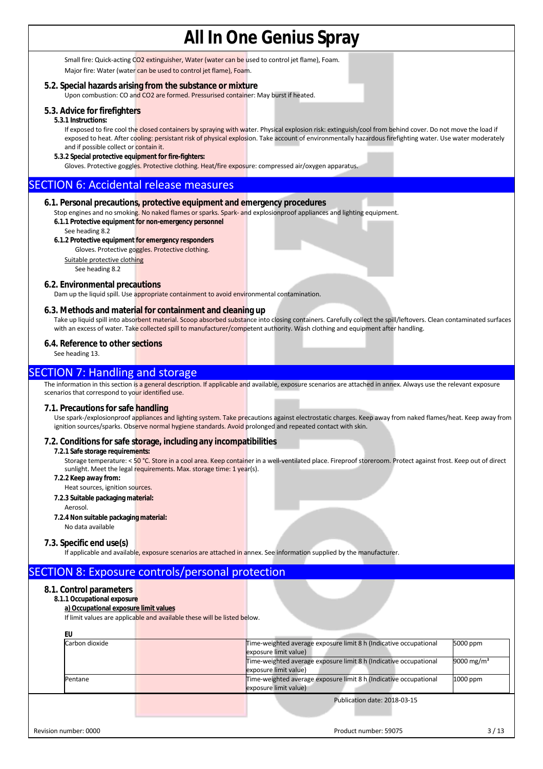Small fire: Quick-acting CO2 extinguisher, Water (water can be used to control jet flame), Foam. Major fire: Water (water can be used to control jet flame), Foam.

### **5.2. Special hazards arising from the substance or mixture**

Upon combustion: CO and CO2 are formed. Pressurised container: May burst if heated.

### **5.3. Advice for firefighters**

#### **5.3.1 Instructions:**

If exposed to fire cool the closed containers by spraying with water. Physical explosion risk: extinguish/cool from behind cover. Do not move the load if exposed to heat. After cooling: persistant risk of physical explosion. Take account of environmentally hazardous firefighting water. Use water moderately and if possible collect or contain it.

**5.3.2 Special protective equipment for fire-fighters:** 

Gloves. Protective goggles. Protective clothing. Heat/fire exposure: compressed air/oxygen apparatus.

## SECTION 6: Accidental release measures

### **6.1. Personal precautions, protective equipment and emergency procedures**

Stop engines and no smoking. No naked flames or sparks. Spark- and explosionproof appliances and lighting equipment.

- **6.1.1 Protective equipment for non-emergency personnel**
- See heading 8.2

## **6.1.2 Protective equipment for emergency responders**

Gloves. Protective goggles. Protective clothing.

Suitable protective clothing

## See heading 8.2

## **6.2. Environmental precautions**

Dam up the liquid spill. Use appropriate containment to avoid environmental contamination.

### **6.3. Methods and material for containment and cleaning up**

Take up liquid spill into absorbent material. Scoop absorbed substance into closing containers. Carefully collect the spill/leftovers. Clean contaminated surfaces with an excess of water. Take collected spill to manufacturer/competent authority. Wash clothing and equipment after handling.

#### **6.4. Reference to other sections**

See heading 13.

## **SECTION 7: Handling and storage**

The information in this section is a general description. If applicable and available, exposure scenarios are attached in annex. Always use the relevant exposure scenarios that correspond to your identified use.

#### **7.1. Precautions for safe handling**

Use spark-/explosionproof appliances and lighting system. Take precautions against electrostatic charges. Keep away from naked flames/heat. Keep away from ignition sources/sparks. Observe normal hygiene standards. Avoid prolonged and repeated contact with skin.

### **7.2. Conditions for safe storage, including any incompatibilities**

#### **7.2.1 Safe storage requirements:**

Storage temperature: < 50 °C. Store in a cool area. Keep container in a well-ventilated place. Fireproof storeroom. Protect against frost. Keep out of direct sunlight. Meet the legal requirements. Max. storage time: 1 year(s).

- **7.2.2 Keep away from:**
- Heat sources, ignition sources.
- **7.2.3 Suitable packaging material:** 
	- Aerosol.
- **7.2.4 Non suitable packaging material:**

## No data available

### **7.3. Specific end use(s)**

If applicable and available, exposure scenarios are attached in annex. See information supplied by the manufacturer.

## SECTION 8: Exposure controls/personal protection

### **8.1. Control parameters**

- **8.1.1 Occupational exposure** 
	- **a) Occupational exposure limit values**

If limit values are applicable and available these will be listed below.

| EU                    |                                                                                            |                        |
|-----------------------|--------------------------------------------------------------------------------------------|------------------------|
| Carbon dioxide        | Time-weighted average exposure limit 8 h (Indicative occupational<br>exposure limit value) | 5000 ppm               |
|                       | Time-weighted average exposure limit 8 h (Indicative occupational<br>exposure limit value) | 9000 mg/m <sup>3</sup> |
| Pentane               | Time-weighted average exposure limit 8 h (Indicative occupational<br>exposure limit value) | 1000 ppm               |
|                       | Publication date: 2018-03-15                                                               |                        |
| Revision number: 0000 | Product number: 59075                                                                      | 3/13                   |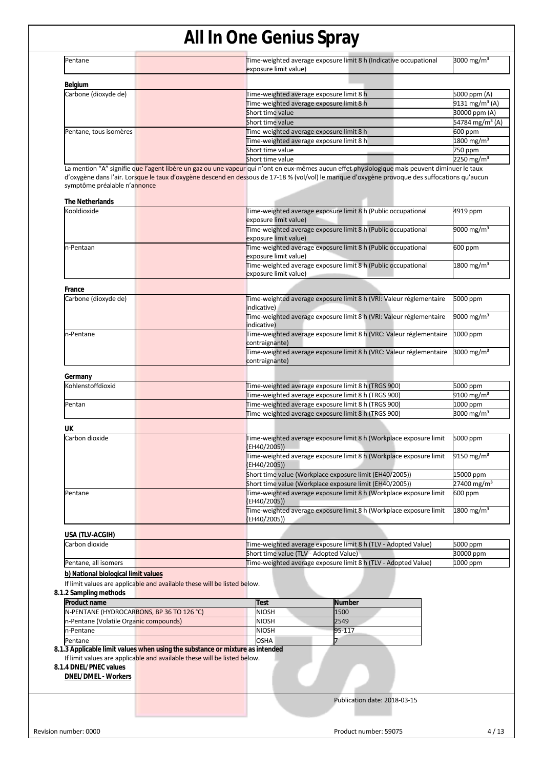| Pentane                | Time-weighted average exposure limit 8 h (Indicative occupational<br>exposure limit value) | 3000 mg/m <sup>3</sup>      |
|------------------------|--------------------------------------------------------------------------------------------|-----------------------------|
| Belgium                |                                                                                            |                             |
| Carbone (dioxyde de)   | Time-weighted average exposure limit 8 h                                                   | 5000 ppm (A)                |
|                        | Time-weighted average exposure limit 8 h                                                   | 9131 mg/m <sup>3</sup> (A)  |
|                        | Short time value                                                                           | 30000 ppm (A)               |
|                        | Short time value                                                                           | 54784 mg/m <sup>3</sup> (A) |
| Pentane, tous isomères | Time-weighted average exposure limit 8 h                                                   | 600 ppm                     |
|                        | Time-weighted average exposure limit 8 h                                                   | 1800 mg/m <sup>3</sup>      |
|                        | Short time value                                                                           | 750 ppm                     |
|                        | Short time value                                                                           | 2250 mg/m <sup>3</sup>      |

La mention "A" signifie que l'agent libère un gaz ou une vapeur qui n'ont en eux-mêmes aucun effet physiologique mais peuvent diminuer le taux d'oxygène dans l'air. Lorsque le taux d'oxygène descend en dessous de 17-18 % (vol/vol) le manque d'oxygène provoque des suffocations qu'aucun symptôme préalable n'annonce

| Kooldioxide<br>n-Pentaan<br>France<br>Carbone (dioxyde de)                                                                                                                                                        | Time-weighted average exposure limit 8 h (Public occupational<br>exposure limit value)<br>Time-weighted average exposure limit 8 h (Public occupational<br>exposure limit value)<br>Time-weighted average exposure limit 8 h (Public occupational<br>exposure limit value)<br>Time-weighted average exposure limit 8 h (Public occupational | 4919 ppm<br>600 ppm      |
|-------------------------------------------------------------------------------------------------------------------------------------------------------------------------------------------------------------------|---------------------------------------------------------------------------------------------------------------------------------------------------------------------------------------------------------------------------------------------------------------------------------------------------------------------------------------------|--------------------------|
|                                                                                                                                                                                                                   |                                                                                                                                                                                                                                                                                                                                             | 9000 mg/m <sup>3</sup>   |
|                                                                                                                                                                                                                   |                                                                                                                                                                                                                                                                                                                                             |                          |
|                                                                                                                                                                                                                   |                                                                                                                                                                                                                                                                                                                                             |                          |
|                                                                                                                                                                                                                   | exposure limit value)                                                                                                                                                                                                                                                                                                                       | 1800 mg/m <sup>3</sup>   |
|                                                                                                                                                                                                                   |                                                                                                                                                                                                                                                                                                                                             |                          |
|                                                                                                                                                                                                                   | Time-weighted average exposure limit 8 h (VRI: Valeur réglementaire<br>indicative)                                                                                                                                                                                                                                                          | 5000 ppm                 |
|                                                                                                                                                                                                                   | Time-weighted average exposure limit 8 h (VRI: Valeur réglementaire<br>indicative)                                                                                                                                                                                                                                                          | 9000 mg/m <sup>3</sup>   |
| n-Pentane                                                                                                                                                                                                         | Time-weighted average exposure limit 8 h (VRC: Valeur réglementaire<br>contraignante)                                                                                                                                                                                                                                                       | 1000 ppm                 |
|                                                                                                                                                                                                                   | Time-weighted average exposure limit 8 h (VRC: Valeur réglementaire<br>contraignante)                                                                                                                                                                                                                                                       | $3000$ mg/m <sup>3</sup> |
| Germany                                                                                                                                                                                                           |                                                                                                                                                                                                                                                                                                                                             |                          |
| Kohlenstoffdioxid                                                                                                                                                                                                 | Time-weighted average exposure limit 8 h (TRGS 900)                                                                                                                                                                                                                                                                                         | 5000 ppm                 |
|                                                                                                                                                                                                                   | Time-weighted average exposure limit 8 h (TRGS 900)                                                                                                                                                                                                                                                                                         | 9100 mg/m <sup>3</sup>   |
| Pentan                                                                                                                                                                                                            | Time-weighted average exposure limit 8 h (TRGS 900)                                                                                                                                                                                                                                                                                         | 1000 ppm                 |
|                                                                                                                                                                                                                   | Time-weighted average exposure limit 8 h (TRGS 900)                                                                                                                                                                                                                                                                                         | 3000 mg/m <sup>3</sup>   |
| UK                                                                                                                                                                                                                |                                                                                                                                                                                                                                                                                                                                             |                          |
| Carbon dioxide                                                                                                                                                                                                    | Time-weighted average exposure limit 8 h (Workplace exposure limit<br>(EH40/2005))                                                                                                                                                                                                                                                          | 5000 ppm                 |
|                                                                                                                                                                                                                   | Time-weighted average exposure limit 8 h (Workplace exposure limit<br>(EH40/2005))                                                                                                                                                                                                                                                          | 9150 mg/m <sup>3</sup>   |
|                                                                                                                                                                                                                   | Short time value (Workplace exposure limit (EH40/2005))                                                                                                                                                                                                                                                                                     | 15000 ppm                |
|                                                                                                                                                                                                                   | Short time value (Workplace exposure limit (EH40/2005))                                                                                                                                                                                                                                                                                     | 27400 mg/m <sup>3</sup>  |
| Pentane                                                                                                                                                                                                           | Time-weighted average exposure limit 8 h (Workplace exposure limit<br>(EH40/2005))                                                                                                                                                                                                                                                          | 600 ppm                  |
|                                                                                                                                                                                                                   | Time-weighted average exposure limit 8 h (Workplace exposure limit<br>(EH40/2005))                                                                                                                                                                                                                                                          | 1800 mg/m <sup>3</sup>   |
| USA (TLV-ACGIH)                                                                                                                                                                                                   |                                                                                                                                                                                                                                                                                                                                             |                          |
| Carbon dioxide                                                                                                                                                                                                    | Time-weighted average exposure limit 8 h (TLV - Adopted Value)                                                                                                                                                                                                                                                                              | 5000 ppm                 |
|                                                                                                                                                                                                                   | Short time value (TLV - Adopted Value)                                                                                                                                                                                                                                                                                                      | 30000 ppm                |
| Pentane, all isomers                                                                                                                                                                                              | Time-weighted average exposure limit 8 h (TLV - Adopted Value)                                                                                                                                                                                                                                                                              | 1000 ppm                 |
| b) National biological limit values<br>If limit values are applicable and available these will be listed below.                                                                                                   |                                                                                                                                                                                                                                                                                                                                             |                          |
| 8.1.2 Sampling methods                                                                                                                                                                                            |                                                                                                                                                                                                                                                                                                                                             |                          |
| Product name<br>N-PENTANE (HYDROCARBONS, BP 36 TO 126 °C)                                                                                                                                                         | Test<br>Number<br><b>NIOSH</b><br>1500                                                                                                                                                                                                                                                                                                      |                          |
| n-Pentane (Volatile Organic compounds)                                                                                                                                                                            | 2549<br><b>NIOSH</b>                                                                                                                                                                                                                                                                                                                        |                          |
| n-Pentane                                                                                                                                                                                                         | <b>NIOSH</b><br>95-117                                                                                                                                                                                                                                                                                                                      |                          |
| Pentane                                                                                                                                                                                                           | <b>OSHA</b><br>7                                                                                                                                                                                                                                                                                                                            |                          |
| 8.1.3 Applicable limit values when using the substance or mixture as intended<br>If limit values are applicable and available these will be listed below.<br>8.1.4 DNEL/PNEC values<br><b>DNEL/DMEL - Workers</b> |                                                                                                                                                                                                                                                                                                                                             |                          |
|                                                                                                                                                                                                                   | Publication date: 2018-03-15                                                                                                                                                                                                                                                                                                                |                          |
|                                                                                                                                                                                                                   |                                                                                                                                                                                                                                                                                                                                             |                          |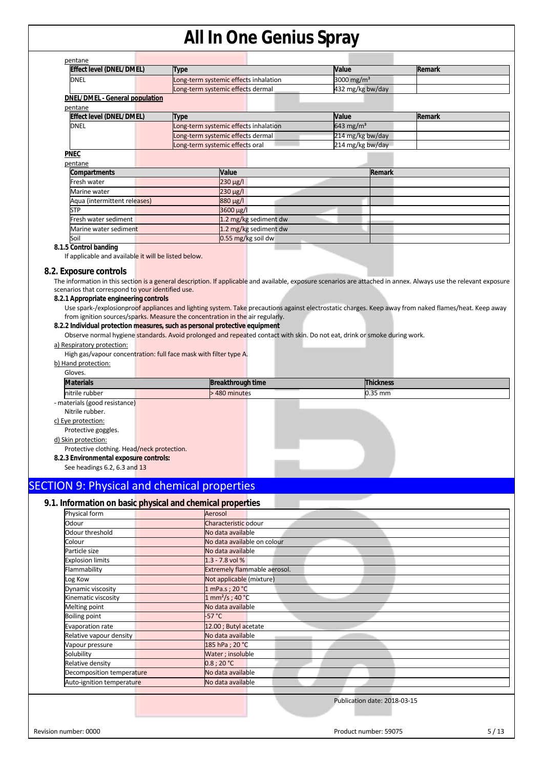| Effect level (DNEL/DMEL)                                                                                                                                                                                                                                            | <b>Type</b>                                                                                                               | Value                  | Remark |
|---------------------------------------------------------------------------------------------------------------------------------------------------------------------------------------------------------------------------------------------------------------------|---------------------------------------------------------------------------------------------------------------------------|------------------------|--------|
| <b>DNEL</b>                                                                                                                                                                                                                                                         | ong-term systemic effects inhalation                                                                                      | 3000 mg/m <sup>3</sup> |        |
|                                                                                                                                                                                                                                                                     | Long-term systemic effects dermal                                                                                         | 432 mg/kg bw/day       |        |
| <b>DNEL/DMEL - General population</b>                                                                                                                                                                                                                               |                                                                                                                           |                        |        |
| pentane                                                                                                                                                                                                                                                             |                                                                                                                           |                        |        |
| Effect level (DNEL/DMEL)                                                                                                                                                                                                                                            | Type                                                                                                                      | Value                  | Remark |
| <b>DNEL</b>                                                                                                                                                                                                                                                         | Long-term systemic effects inhalation                                                                                     | 643 mg/m <sup>3</sup>  |        |
|                                                                                                                                                                                                                                                                     | Long-term systemic effects dermal                                                                                         | 214 mg/kg bw/day       |        |
|                                                                                                                                                                                                                                                                     | ong-term systemic effects oral                                                                                            | 214 mg/kg bw/day       |        |
| <b>PNEC</b>                                                                                                                                                                                                                                                         |                                                                                                                           |                        |        |
| pentane                                                                                                                                                                                                                                                             |                                                                                                                           |                        |        |
| Compartments                                                                                                                                                                                                                                                        | Value                                                                                                                     | Remark                 |        |
| Fresh water                                                                                                                                                                                                                                                         | 230 µg/l                                                                                                                  |                        |        |
| Marine water                                                                                                                                                                                                                                                        | 230 µg/l                                                                                                                  |                        |        |
| Aqua (intermittent releases)                                                                                                                                                                                                                                        | 880 µg/l                                                                                                                  |                        |        |
| <b>STP</b>                                                                                                                                                                                                                                                          | 3600 µg/l                                                                                                                 |                        |        |
| Fresh water sediment                                                                                                                                                                                                                                                | 1.2 mg/kg sediment dw                                                                                                     |                        |        |
| Marine water sedimen <mark>t</mark>                                                                                                                                                                                                                                 | 1.2 mg/kg sediment dw                                                                                                     |                        |        |
| Soil                                                                                                                                                                                                                                                                | 0.55 mg/kg soil dw                                                                                                        |                        |        |
| 8.1.5 Control banding                                                                                                                                                                                                                                               |                                                                                                                           |                        |        |
| a) Respiratory protection:<br>High gas/vapour concentration: full face mask with filter type A.                                                                                                                                                                     | Observe normal hygiene standards. Avoid prolonged and repeated contact with skin. Do not eat, drink or smoke during work. |                        |        |
|                                                                                                                                                                                                                                                                     |                                                                                                                           |                        |        |
| Gloves.                                                                                                                                                                                                                                                             |                                                                                                                           |                        |        |
| <b>Materials</b>                                                                                                                                                                                                                                                    | <b>Breakthrough time</b>                                                                                                  | <b>Thickness</b>       |        |
| nitrile rubber                                                                                                                                                                                                                                                      | 480 minutes                                                                                                               | 0.35 mm                |        |
| b) Hand protection:<br>- materials (good resistance)<br>Nitrile rubber.<br>c) Eye protection:<br>Protective goggles.<br>d) Skin protection:<br>Protective clothing. Head/neck protection.<br>8.2.3 Environmental exposure controls:<br>See headings 6.2, 6.3 and 13 |                                                                                                                           |                        |        |
|                                                                                                                                                                                                                                                                     |                                                                                                                           |                        |        |
|                                                                                                                                                                                                                                                                     |                                                                                                                           |                        |        |
| <b>SECTION 9: Physical and chemical properties</b><br>9.1. Information on basic physical and chemical properties<br>Physical form                                                                                                                                   | Aerosol                                                                                                                   |                        |        |

| No data available on colour<br>Colour<br>No data available<br>Particle size<br>$1.3 - 7.8$ vol %<br><b>Explosion limits</b><br><b>Extremely flammable aerosol.</b><br>Flammability<br>Not applicable (mixture)<br>Log Kow<br>1 mPa.s ; 20 °C<br>Dynamic viscosity |      |
|-------------------------------------------------------------------------------------------------------------------------------------------------------------------------------------------------------------------------------------------------------------------|------|
|                                                                                                                                                                                                                                                                   |      |
|                                                                                                                                                                                                                                                                   |      |
|                                                                                                                                                                                                                                                                   |      |
|                                                                                                                                                                                                                                                                   |      |
|                                                                                                                                                                                                                                                                   |      |
|                                                                                                                                                                                                                                                                   |      |
| $1 \text{ mm}^2/\text{s}$ ; 40 °C<br>Kinematic viscosity                                                                                                                                                                                                          |      |
| No data available<br>Melting point                                                                                                                                                                                                                                |      |
| $-57 °C$<br><b>Boiling point</b>                                                                                                                                                                                                                                  |      |
| 12.00 ; Butyl acetate<br>Evaporation rate                                                                                                                                                                                                                         |      |
| Relative vapour density<br>No data available                                                                                                                                                                                                                      |      |
| 185 hPa ; 20 °C<br>Vapour pressure                                                                                                                                                                                                                                |      |
| Water; insoluble<br>Solubility                                                                                                                                                                                                                                    |      |
| 0.8:20 °C<br>Relative density                                                                                                                                                                                                                                     |      |
| No data available<br>Decomposition temperature                                                                                                                                                                                                                    |      |
| No data available<br>Auto-ignition temperature                                                                                                                                                                                                                    |      |
|                                                                                                                                                                                                                                                                   |      |
| Publication date: 2018-03-15                                                                                                                                                                                                                                      |      |
|                                                                                                                                                                                                                                                                   |      |
|                                                                                                                                                                                                                                                                   |      |
| Revision number: 0000<br>Product number: 59075                                                                                                                                                                                                                    | 5/13 |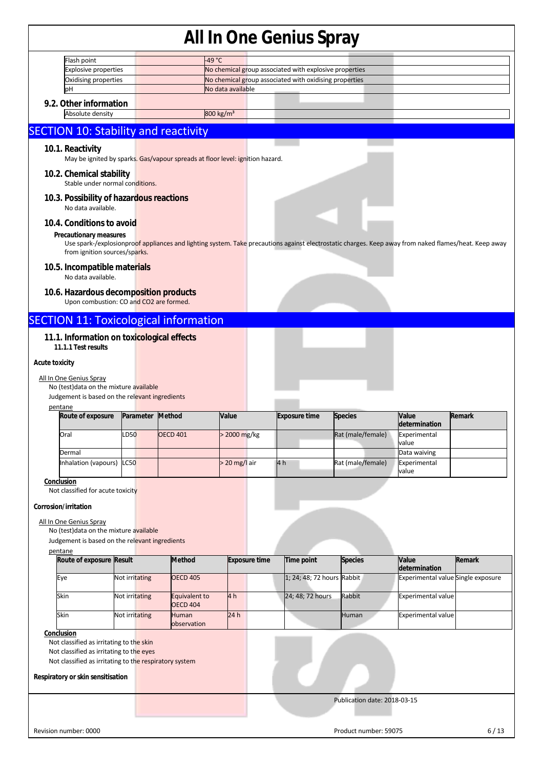|                       | Flash point                                                                          |                | 49 °C                                                                         |                       |                      |                                                                                                                                                       |                              |                                    |               |
|-----------------------|--------------------------------------------------------------------------------------|----------------|-------------------------------------------------------------------------------|-----------------------|----------------------|-------------------------------------------------------------------------------------------------------------------------------------------------------|------------------------------|------------------------------------|---------------|
|                       | <b>Explosive properties</b>                                                          |                |                                                                               |                       |                      | No chemical group associated with explosive properties                                                                                                |                              |                                    |               |
|                       | Oxidising properties                                                                 |                |                                                                               |                       |                      | No chemical group associated with oxidising properties                                                                                                |                              |                                    |               |
|                       | pН                                                                                   |                |                                                                               | No data available     |                      |                                                                                                                                                       |                              |                                    |               |
|                       | 9.2. Other information                                                               |                |                                                                               |                       |                      |                                                                                                                                                       |                              |                                    |               |
|                       | Absolute density                                                                     |                |                                                                               | 800 kg/m <sup>3</sup> |                      |                                                                                                                                                       |                              |                                    |               |
|                       | <b>SECTION 10: Stability and reactivity</b>                                          |                |                                                                               |                       |                      |                                                                                                                                                       |                              |                                    |               |
|                       |                                                                                      |                |                                                                               |                       |                      |                                                                                                                                                       |                              |                                    |               |
|                       | 10.1. Reactivity                                                                     |                | May be ignited by sparks. Gas/vapour spreads at floor level: ignition hazard. |                       |                      |                                                                                                                                                       |                              |                                    |               |
|                       |                                                                                      |                |                                                                               |                       |                      |                                                                                                                                                       |                              |                                    |               |
|                       | 10.2. Chemical stability                                                             |                |                                                                               |                       |                      |                                                                                                                                                       |                              |                                    |               |
|                       | Stable under normal conditions.                                                      |                |                                                                               |                       |                      |                                                                                                                                                       |                              |                                    |               |
|                       | 10.3. Possibility of hazardous reactions<br>No data available.                       |                |                                                                               |                       |                      |                                                                                                                                                       |                              |                                    |               |
|                       |                                                                                      |                |                                                                               |                       |                      |                                                                                                                                                       |                              |                                    |               |
|                       | 10.4. Conditions to avoid                                                            |                |                                                                               |                       |                      |                                                                                                                                                       |                              |                                    |               |
|                       | <b>Precautionary measures</b>                                                        |                |                                                                               |                       |                      | Use spark-/explosionproof appliances and lighting system. Take precautions against electrostatic charges. Keep away from naked flames/heat. Keep away |                              |                                    |               |
|                       | from ignition sources/sparks.                                                        |                |                                                                               |                       |                      |                                                                                                                                                       |                              |                                    |               |
|                       | 10.5. Incompatible materials                                                         |                |                                                                               |                       |                      |                                                                                                                                                       |                              |                                    |               |
|                       | No data available.                                                                   |                |                                                                               |                       |                      |                                                                                                                                                       |                              |                                    |               |
|                       |                                                                                      |                |                                                                               |                       |                      |                                                                                                                                                       |                              |                                    |               |
|                       | 10.6. Hazardous decomposition products<br>Upon combustion: CO and CO2 are formed.    |                |                                                                               |                       |                      |                                                                                                                                                       |                              |                                    |               |
|                       |                                                                                      |                | <b>SECTION 11: Toxicological information</b>                                  |                       |                      |                                                                                                                                                       |                              |                                    |               |
|                       |                                                                                      |                |                                                                               |                       |                      |                                                                                                                                                       |                              |                                    |               |
|                       | 11.1. Information on toxicological effects                                           |                |                                                                               |                       |                      |                                                                                                                                                       |                              |                                    |               |
|                       | 11.1.1 Test results                                                                  |                |                                                                               |                       |                      |                                                                                                                                                       |                              |                                    |               |
| <b>Acute toxicity</b> |                                                                                      |                |                                                                               |                       |                      |                                                                                                                                                       |                              |                                    |               |
|                       | All In One Genius Spray                                                              |                |                                                                               |                       |                      |                                                                                                                                                       |                              |                                    |               |
|                       | No (test) data on the mixture available                                              |                |                                                                               |                       |                      |                                                                                                                                                       |                              |                                    |               |
|                       | Judgement is based on the relevant ingredients                                       |                |                                                                               |                       |                      |                                                                                                                                                       |                              |                                    |               |
|                       | pentane                                                                              |                |                                                                               | Value                 |                      | <b>Exposure time</b>                                                                                                                                  | <b>Species</b>               | Value                              |               |
|                       |                                                                                      |                |                                                                               |                       |                      |                                                                                                                                                       |                              |                                    |               |
|                       | Route of exposure                                                                    |                | Parameter Method                                                              |                       |                      |                                                                                                                                                       |                              | determination                      | Remark        |
|                       | Oral                                                                                 | LD50           | <b>OECD 401</b>                                                               | > 2000 mg/kg          |                      |                                                                                                                                                       | Rat (male/female)            | Experimental                       |               |
|                       |                                                                                      |                |                                                                               |                       |                      |                                                                                                                                                       |                              | value                              |               |
|                       | Dermal                                                                               |                |                                                                               |                       |                      |                                                                                                                                                       |                              | Data waiving                       |               |
|                       | Inhalation (vapours)                                                                 | <b>LC50</b>    |                                                                               | $>$ 20 mg/l air       |                      | 4 h                                                                                                                                                   | Rat (male/female)            | Experimental<br>value              |               |
|                       | Conclusion                                                                           |                |                                                                               |                       |                      |                                                                                                                                                       |                              |                                    |               |
|                       | Not classified for acute toxicity                                                    |                |                                                                               |                       |                      |                                                                                                                                                       |                              |                                    |               |
|                       | Corrosion/irritation                                                                 |                |                                                                               |                       |                      |                                                                                                                                                       |                              |                                    |               |
|                       |                                                                                      |                |                                                                               |                       |                      |                                                                                                                                                       |                              |                                    |               |
|                       | All In One Genius Spray<br>No (test) data on the mixture available                   |                |                                                                               |                       |                      |                                                                                                                                                       |                              |                                    |               |
|                       | Judgement is based on the relevant ingredients                                       |                |                                                                               |                       |                      |                                                                                                                                                       |                              |                                    |               |
|                       | pentane                                                                              |                |                                                                               |                       |                      |                                                                                                                                                       |                              |                                    |               |
|                       | Route of exposure Result                                                             |                | <b>Method</b>                                                                 |                       | <b>Exposure time</b> | Time point                                                                                                                                            | <b>Species</b>               | Value<br>determination             | <b>Remark</b> |
|                       | Eye                                                                                  | Not irritating | <b>OECD 405</b>                                                               |                       |                      | 1; 24; 48; 72 hours Rabbit                                                                                                                            |                              | Experimental value Single exposure |               |
|                       |                                                                                      |                |                                                                               |                       |                      |                                                                                                                                                       |                              |                                    |               |
|                       | Skin                                                                                 | Not irritating | Equivalent to<br><b>OECD 404</b>                                              | 4h                    |                      | 24; 48; 72 hours                                                                                                                                      | Rabbit                       | <b>Experimental value</b>          |               |
|                       | Skin                                                                                 | Not irritating | <b>Human</b>                                                                  | 24h                   |                      |                                                                                                                                                       | Human                        | <b>Experimental value</b>          |               |
|                       |                                                                                      |                | observation                                                                   |                       |                      |                                                                                                                                                       |                              |                                    |               |
|                       | Conclusion                                                                           |                |                                                                               |                       |                      |                                                                                                                                                       |                              |                                    |               |
|                       | Not classified as irritating to the skin<br>Not classified as irritating to the eyes |                |                                                                               |                       |                      |                                                                                                                                                       |                              |                                    |               |
|                       | Not classified as irritating to the respiratory system                               |                |                                                                               |                       |                      |                                                                                                                                                       |                              |                                    |               |
|                       |                                                                                      |                |                                                                               |                       |                      |                                                                                                                                                       |                              |                                    |               |
|                       | Respiratory or skin sensitisation                                                    |                |                                                                               |                       |                      |                                                                                                                                                       |                              |                                    |               |
|                       |                                                                                      |                |                                                                               |                       |                      |                                                                                                                                                       | Publication date: 2018-03-15 |                                    |               |
|                       |                                                                                      |                |                                                                               |                       |                      |                                                                                                                                                       |                              |                                    |               |
|                       | Revision number: 0000                                                                |                |                                                                               |                       |                      |                                                                                                                                                       | Product number: 59075        |                                    | 6/13          |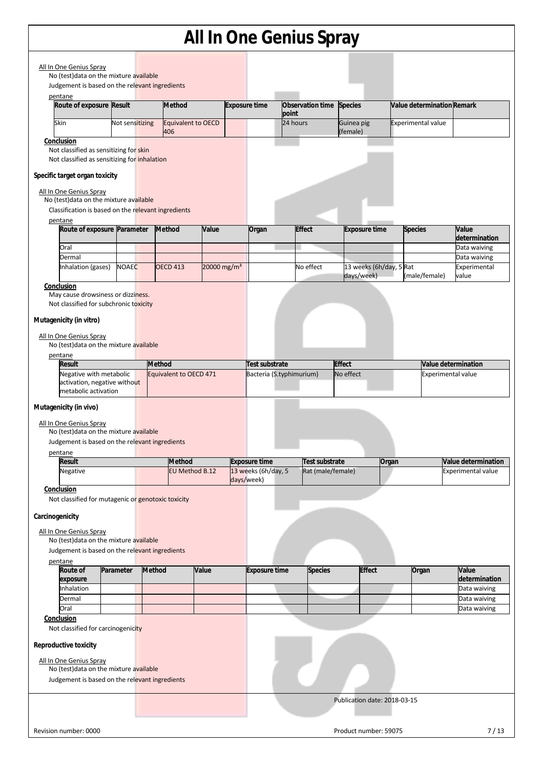|                 |                                                                                                                           |           |                 |        |                                  |                         |                                             |          | All in One Genius Spray                    |                                       |       |                           |                            |                                                  |
|-----------------|---------------------------------------------------------------------------------------------------------------------------|-----------|-----------------|--------|----------------------------------|-------------------------|---------------------------------------------|----------|--------------------------------------------|---------------------------------------|-------|---------------------------|----------------------------|--------------------------------------------------|
|                 | All In One Genius Spray<br>No (test) data on the mixture available                                                        |           |                 |        |                                  |                         |                                             |          |                                            |                                       |       |                           |                            |                                                  |
|                 | Judgement is based on the relevant ingredients                                                                            |           |                 |        |                                  |                         |                                             |          |                                            |                                       |       |                           |                            |                                                  |
|                 | pentane<br>Route of exposure Result                                                                                       |           |                 |        | <b>Method</b>                    |                         | <b>Exposure time</b>                        | point    | Observation time                           | <b>Species</b>                        |       |                           | Value determination Remark |                                                  |
|                 | <b>Skin</b>                                                                                                               |           | Not sensitizing |        | <b>Equivalent to OECD</b><br>406 |                         |                                             | 24 hours |                                            | Guinea pig<br>(female)                |       | <b>Experimental value</b> |                            |                                                  |
|                 | Conclusion                                                                                                                |           |                 |        |                                  |                         |                                             |          |                                            |                                       |       |                           |                            |                                                  |
|                 | Not classified as sensitizing for skin                                                                                    |           |                 |        |                                  |                         |                                             |          |                                            |                                       |       |                           |                            |                                                  |
|                 | Not classified as sensitizing for inhalation                                                                              |           |                 |        |                                  |                         |                                             |          |                                            |                                       |       |                           |                            |                                                  |
|                 | Specific target organ toxicity                                                                                            |           |                 |        |                                  |                         |                                             |          |                                            |                                       |       |                           |                            |                                                  |
|                 | All In One Genius Spray<br>No (test) data on the mixture available<br>Classification is based on the relevant ingredients |           |                 |        |                                  |                         |                                             |          |                                            |                                       |       |                           |                            |                                                  |
|                 | pentane<br>Route of exposure Parameter                                                                                    |           |                 |        | <b>Method</b>                    | Value                   | Organ                                       |          | <b>Effect</b>                              | <b>Exposure time</b>                  |       | <b>Species</b>            |                            | Value                                            |
|                 | Oral                                                                                                                      |           |                 |        |                                  |                         |                                             |          |                                            |                                       |       |                           |                            | determination<br>Data waiving                    |
|                 | Dermal                                                                                                                    |           |                 |        |                                  |                         |                                             |          |                                            |                                       |       |                           |                            | Data waiving                                     |
|                 | Inhalation (gases)                                                                                                        |           | <b>NOAEC</b>    |        | <b>OECD 413</b>                  | 20000 mg/m <sup>3</sup> |                                             |          | No effect                                  | 13 weeks (6h/day, 5 Rat<br>days/week) |       | (male/female)             |                            | Experimental<br>value                            |
|                 | Conclusion                                                                                                                |           |                 |        |                                  |                         |                                             |          |                                            |                                       |       |                           |                            |                                                  |
|                 | May cause drowsiness or dizziness.<br>Not classified for subchronic toxicity                                              |           |                 |        |                                  |                         |                                             |          |                                            |                                       |       |                           |                            |                                                  |
|                 | Mutagenicity (in vitro)                                                                                                   |           |                 |        |                                  |                         |                                             |          |                                            |                                       |       |                           |                            |                                                  |
|                 |                                                                                                                           |           |                 |        |                                  |                         |                                             |          |                                            |                                       |       |                           |                            |                                                  |
|                 | All In One Genius Spray<br>No (test) data on the mixture available<br>pentane                                             |           |                 |        |                                  |                         |                                             |          |                                            |                                       |       |                           |                            |                                                  |
|                 | <b>Result</b>                                                                                                             |           |                 | Method |                                  |                         | Test substrate                              |          |                                            | <b>Effect</b>                         |       |                           |                            | Value determination                              |
|                 | Negative with metabolic<br>activation, negative without                                                                   |           |                 |        | Equivalent to OECD 471           |                         | Bacteria (S.typhimurium)                    |          |                                            | No effect                             |       |                           | <b>Experimental value</b>  |                                                  |
|                 | metabolic activation                                                                                                      |           |                 |        |                                  |                         |                                             |          |                                            |                                       |       |                           |                            |                                                  |
|                 | Mutagenicity (in vivo)                                                                                                    |           |                 |        |                                  |                         |                                             |          |                                            |                                       |       |                           |                            |                                                  |
|                 | All In One Genius Spray                                                                                                   |           |                 |        |                                  |                         |                                             |          |                                            |                                       |       |                           |                            |                                                  |
|                 | No (test) data on the mixture available<br>Judgement is based on the relevant ingredients                                 |           |                 |        |                                  |                         |                                             |          |                                            |                                       |       |                           |                            |                                                  |
|                 | pentane                                                                                                                   |           |                 |        |                                  |                         |                                             |          |                                            |                                       |       |                           |                            |                                                  |
|                 | <b>Result</b><br>Negative                                                                                                 |           |                 |        | <b>Method</b><br>EU Method B.12  |                         | <b>Exposure time</b><br>13 weeks (6h/day, 5 |          | <b>Test substrate</b><br>Rat (male/female) |                                       | Organ |                           |                            | Value determination<br><b>Experimental value</b> |
|                 |                                                                                                                           |           |                 |        |                                  |                         | days/week)                                  |          |                                            |                                       |       |                           |                            |                                                  |
|                 | Conclusion                                                                                                                |           |                 |        |                                  |                         |                                             |          |                                            |                                       |       |                           |                            |                                                  |
|                 | Not classified for mutagenic or genotoxic toxicity                                                                        |           |                 |        |                                  |                         |                                             |          |                                            |                                       |       |                           |                            |                                                  |
| Carcinogenicity |                                                                                                                           |           |                 |        |                                  |                         |                                             |          |                                            |                                       |       |                           |                            |                                                  |
|                 | All In One Genius Spray                                                                                                   |           |                 |        |                                  |                         |                                             |          |                                            |                                       |       |                           |                            |                                                  |
|                 | No (test) data on the mixture available<br>Judgement is based on the relevant ingredients                                 |           |                 |        |                                  |                         |                                             |          |                                            |                                       |       |                           |                            |                                                  |
|                 | pentane                                                                                                                   |           |                 |        |                                  |                         |                                             |          |                                            |                                       |       |                           |                            |                                                  |
|                 | Route of<br>exposure                                                                                                      | Parameter |                 | Method |                                  | Value                   | <b>Exposure time</b>                        |          | <b>Species</b>                             | <b>Effect</b>                         |       | Organ                     |                            | Value<br>determination                           |
|                 | Inhalation                                                                                                                |           |                 |        |                                  |                         |                                             |          |                                            |                                       |       |                           |                            | Data waiving                                     |
|                 | Dermal                                                                                                                    |           |                 |        |                                  |                         |                                             |          |                                            |                                       |       |                           |                            | Data waiving                                     |
|                 | Oral<br>Conclusion                                                                                                        |           |                 |        |                                  |                         |                                             |          |                                            |                                       |       |                           |                            | Data waiving                                     |
|                 | Not classified for carcinogenicity                                                                                        |           |                 |        |                                  |                         |                                             |          |                                            |                                       |       |                           |                            |                                                  |
|                 | <b>Reproductive toxicity</b>                                                                                              |           |                 |        |                                  |                         |                                             |          |                                            |                                       |       |                           |                            |                                                  |
|                 |                                                                                                                           |           |                 |        |                                  |                         |                                             |          |                                            |                                       |       |                           |                            |                                                  |
|                 | All In One Genius Spray<br>No (test) data on the mixture available                                                        |           |                 |        |                                  |                         |                                             |          |                                            |                                       |       |                           |                            |                                                  |
|                 | Judgement is based on the relevant ingredients                                                                            |           |                 |        |                                  |                         |                                             |          |                                            |                                       |       |                           |                            |                                                  |
|                 |                                                                                                                           |           |                 |        |                                  |                         |                                             |          |                                            | Publication date: 2018-03-15          |       |                           |                            |                                                  |
|                 |                                                                                                                           |           |                 |        |                                  |                         |                                             |          |                                            |                                       |       |                           |                            |                                                  |
|                 |                                                                                                                           |           |                 |        |                                  |                         |                                             |          |                                            |                                       |       |                           |                            |                                                  |
|                 | Revision number: 0000                                                                                                     |           |                 |        |                                  |                         |                                             |          |                                            | Product number: 59075                 |       |                           |                            | 7/13                                             |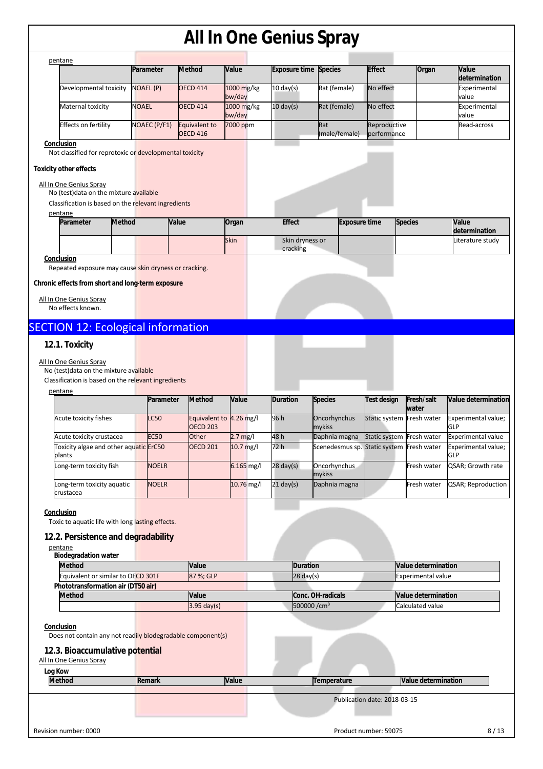| pentane                     |                     |                                  |                      |                              |                      |                             |       |                        |
|-----------------------------|---------------------|----------------------------------|----------------------|------------------------------|----------------------|-----------------------------|-------|------------------------|
|                             | Parameter           | Method                           | <b>Value</b>         | <b>Exposure time Species</b> |                      | <b>Effect</b>               | Organ | Value<br>determination |
| Developmental toxicity      | <b>NOAEL (P)</b>    | <b>OECD 414</b>                  | 1000 mg/kg<br>bw/day | $10 \text{ day(s)}$          | Rat (female)         | No effect                   |       | Experimental<br>value  |
| Maternal toxicity           | <b>NOAEL</b>        | <b>OECD 414</b>                  | 1000 mg/kg<br>bw/day | $10 \text{ day(s)}$          | Rat (female)         | No effect                   |       | Experimental<br>value  |
| <b>Effects on fertility</b> | <b>NOAEC (P/F1)</b> | Equivalent to<br><b>OECD 416</b> | 7000 ppm             |                              | Rat<br>(male/female) | Reproductive<br>berformance |       | Read-across            |
| ---------                   |                     |                                  |                      |                              |                      |                             |       |                        |

**Conclusion** 

Not classified for reprotoxic or developmental toxicity

### **Toxicity other effects**

### All In One Genius Spray

No (test)data on the mixture available

Classification is based on the relevant ingredients

 $\overline{a}$ 

| pentane   |               |       |             |                 |                      |                |                  |
|-----------|---------------|-------|-------------|-----------------|----------------------|----------------|------------------|
| Parameter | <b>Method</b> | Value | Organ       | <b>Effect</b>   | <b>Exposure time</b> | <b>Species</b> | <b>Value</b>     |
|           |               |       |             |                 |                      |                | determination    |
|           |               |       | <b>Skin</b> | Skin dryness or |                      |                | Literature study |
|           |               |       |             | cracking        |                      |                |                  |
| anclusion |               |       |             |                 |                      |                |                  |

**Conclusion** 

Repeated exposure may cause skin dryness or cracking.

#### **Chronic effects from short and long-term exposure**

All In One Genius Spray No effects known.

## SECTION 12: Ecological information

## **12.1. Toxicity**

#### All In One Genius Spray

No (test)data on the mixture available

Classification is based on the relevant ingredients

| pentane                                          |              |                                            |              |                     |                                           |                           |                     |                                   |
|--------------------------------------------------|--------------|--------------------------------------------|--------------|---------------------|-------------------------------------------|---------------------------|---------------------|-----------------------------------|
|                                                  | Parameter    | <b>Method</b>                              | Value        | <b>Duration</b>     | <b>Species</b>                            | Test design               | Fresh/salt<br>water | Value determination               |
| Acute toxicity fishes                            | <b>LC50</b>  | Equivalent to 4.26 mg/l<br><b>OECD 203</b> |              | 96 h                | Oncorhynchus<br>mykiss                    | Static system Fresh water |                     | Experimental value;<br><b>GLP</b> |
| Acute toxicity crustacea                         | <b>EC50</b>  | Other                                      | $2.7$ mg/l   | 48 h                | Daphnia magna                             | Static system Fresh water |                     | <b>Experimental value</b>         |
| Toxicity algae and other aquatic ErC50<br>plants |              | <b>OECD 201</b>                            | $10.7$ mg/l  | 72 h                | Scenedesmus sp. Static system Fresh water |                           |                     | Experimental value;<br><b>GLP</b> |
| Long-term toxicity fish                          | <b>NOELR</b> |                                            | $6.165$ mg/l | $28 \text{ day}(s)$ | Oncorhynchus<br>mykiss                    |                           | Fresh water         | QSAR; Growth rate                 |
| Long-term toxicity aquatic<br>crustacea          | <b>NOELR</b> |                                            | $10.76$ mg/l | $21$ day(s)         | Daphnia magna                             |                           | Fresh water         | QSAR; Reproduction                |

#### **Conclusion**

Toxic to aquatic life with long lasting effects.

### **12.2. Persistence and degradability**

pentane

|       | Duration                            | <b>Nalue determination</b> |
|-------|-------------------------------------|----------------------------|
|       | $28 \text{ day(s)}$                 | <b>Experimental value</b>  |
|       |                                     |                            |
| Value | Conc. OH-radicals                   | Value determination        |
|       | 500000 /cm <sup>3</sup>             | Calculated value           |
|       | Value<br>87 %: GLP<br>$3.95$ day(s) |                            |

#### **Conclusion**

 $\overline{a}$ 

Does not contain any not readily biodegradable component(s)

### **12.3. Bioaccumulative potential**

| Log Kow               |        |              |                              |                     |      |
|-----------------------|--------|--------------|------------------------------|---------------------|------|
| <b>Method</b>         | Remark | <b>Value</b> | Temperature                  | Value determination |      |
|                       |        |              |                              |                     |      |
|                       |        |              | Publication date: 2018-03-15 |                     |      |
|                       |        |              |                              |                     |      |
|                       |        |              |                              |                     |      |
| Revision number: 0000 |        |              | Product number: 59075        |                     | 8/13 |
|                       |        |              |                              |                     |      |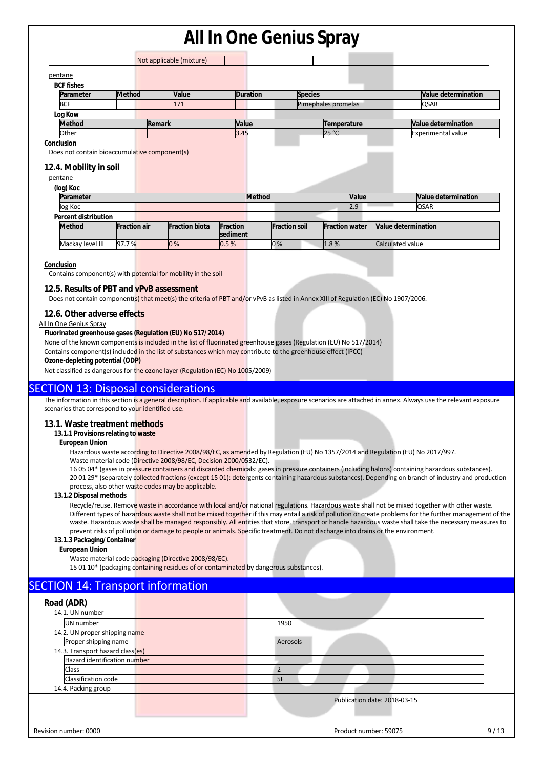|                                               |                     | Not applicable (mixture) |                      |                                               |                            |
|-----------------------------------------------|---------------------|--------------------------|----------------------|-----------------------------------------------|----------------------------|
| pentane                                       |                     |                          |                      |                                               |                            |
| <b>BCF fishes</b>                             |                     |                          |                      |                                               |                            |
| Parameter                                     | <b>Method</b>       | Value                    | <b>Duration</b>      | <b>Species</b>                                | <b>Value determination</b> |
| <b>BCF</b>                                    |                     | 171                      |                      | Pimephales promelas                           | <b>QSAR</b>                |
| Log Kow                                       |                     |                          |                      |                                               |                            |
| <b>Method</b>                                 |                     | <b>Remark</b>            | Value                | Temperature                                   | <b>Value determination</b> |
| Other                                         |                     |                          | 3.45                 |                                               | <b>Experimental value</b>  |
|                                               |                     |                          |                      | 25 °C                                         |                            |
| Conclusion                                    |                     |                          |                      |                                               |                            |
| Does not contain bioaccumulative component(s) |                     |                          |                      |                                               |                            |
| 12.4. Mobility in soil                        |                     |                          |                      |                                               |                            |
| pentane                                       |                     |                          |                      |                                               |                            |
| (log) Koc                                     |                     |                          |                      |                                               |                            |
| Parameter                                     |                     |                          | <b>Method</b>        | Value                                         | Value determination        |
| log Koc                                       |                     |                          |                      | 2.9                                           | <b>QSAR</b>                |
| <b>Percent distribution</b>                   |                     |                          |                      |                                               |                            |
| <b>Method</b>                                 | <b>Fraction air</b> | <b>Fraction biota</b>    | Fraction<br>sediment | <b>Fraction soil</b><br><b>Fraction water</b> | Value determination        |

#### **Conclusion**

Contains component(s) with potential for mobility in the soil

#### **12.5. Results of PBT and vPvB assessment**

Does not contain component(s) that meet(s) the criteria of PBT and/or vPvB as listed in Annex XIII of Regulation (EC) No 1907/2006.

## **12.6. Other adverse effects**

#### All In One Genius Spray

#### **Fluorinated greenhouse gases (Regulation (EU) No 517/2014)**

None of the known components is included in the list of fluorinated greenhouse gases (Regulation (EU) No 517/2014)

Contains component(s) included in the list of substances which may contribute to the greenhouse effect (IPCC)

**Ozone-depleting potential (ODP)** 

Not classified as dangerous for the ozone layer (Regulation (EC) No 1005/2009)

## SECTION 13: Disposal considerations

The information in this section is a general description. If applicable and available, exposure scenarios are attached in annex. Always use the relevant exposure scenarios that correspond to your identified use.

#### **13.1. Waste treatment methods**

#### **13.1.1 Provisions relating to waste**

**European Union** 

Hazardous waste according to Directive 2008/98/EC, as amended by Regulation (EU) No 1357/2014 and Regulation (EU) No 2017/997.

Waste material code (Directive 2008/98/EC, Decision 2000/0532/EC).

16 05 04\* (gases in pressure containers and discarded chemicals: gases in pressure containers (including halons) containing hazardous substances). 20 01 29\* (separately collected fractions (except 15 01): detergents containing hazardous substances). Depending on branch of industry and production process, also other waste codes may be applicable.

#### **13.1.2 Disposal methods**

Recycle/reuse. Remove waste in accordance with local and/or national regulations. Hazardous waste shall not be mixed together with other waste. Different types of hazardous waste shall not be mixed together if this may entail a risk of pollution or create problems for the further management of the waste. Hazardous waste shall be managed responsibly. All entities that store, transport or handle hazardous waste shall take the necessary measures to prevent risks of pollution or damage to people or animals. Specific treatment. Do not discharge into drains or the environment.

#### **13.1.3 Packaging/Container**

**European Union** 

Waste material code packaging (Directive 2008/98/EC).

15 01 10\* (packaging containing residues of or contaminated by dangerous substances).

## SECTION 14: Transport information

| Road (ADR)                       |                              |
|----------------------------------|------------------------------|
| 14.1. UN number                  |                              |
| UN number                        | 1950                         |
| 14.2. UN proper shipping name    |                              |
| Proper shipping name             | Aerosols                     |
| 14.3. Transport hazard class(es) |                              |
| Hazard identification number     |                              |
| <b>Class</b>                     |                              |
| Classification code              | <b>I</b> SF                  |
| 14.4. Packing group              |                              |
|                                  | Publication date: 2018-03-15 |
|                                  |                              |
|                                  |                              |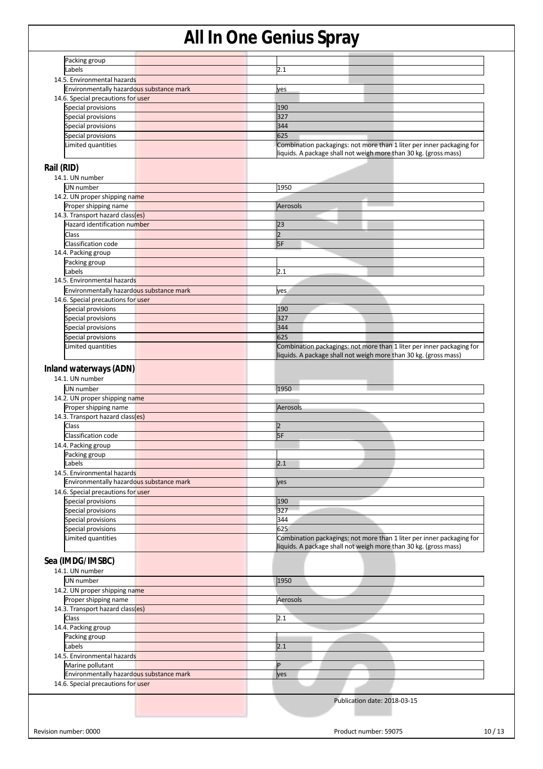| Packing group<br>Labels                                                                  |                                                                       |
|------------------------------------------------------------------------------------------|-----------------------------------------------------------------------|
|                                                                                          |                                                                       |
|                                                                                          | 2.1                                                                   |
| 14.5. Environmental hazards                                                              |                                                                       |
| Environmentally hazardous substance mark                                                 |                                                                       |
|                                                                                          | yes                                                                   |
| 14.6. Special precautions for user                                                       |                                                                       |
| Special provisions                                                                       | 190                                                                   |
| Special provisions                                                                       | 327                                                                   |
| Special provisions                                                                       | 344                                                                   |
| Special provisions                                                                       | 625                                                                   |
| Limited quantities                                                                       | Combination packagings: not more than 1 liter per inner packaging for |
|                                                                                          | liquids. A package shall not weigh more than 30 kg. (gross mass)      |
|                                                                                          |                                                                       |
| Rail (RID)                                                                               |                                                                       |
| 14.1. UN number                                                                          |                                                                       |
| <b>UN</b> number                                                                         | 1950                                                                  |
| 14.2. UN proper shipping name                                                            |                                                                       |
| Proper shipping name                                                                     | Aerosols                                                              |
| 14.3. Transport hazard class(es)                                                         |                                                                       |
| Hazard identification number                                                             | 23                                                                    |
| Class                                                                                    | $\overline{2}$                                                        |
| Classification code                                                                      | 5F                                                                    |
| 14.4. Packing group                                                                      |                                                                       |
|                                                                                          |                                                                       |
| Packing group                                                                            |                                                                       |
| Labels                                                                                   | 2.1                                                                   |
| 14.5. Environmental hazards                                                              |                                                                       |
| Environmentally hazardous substance mark                                                 | yes                                                                   |
| 14.6. Special precautions for user                                                       |                                                                       |
| Special provisions                                                                       | 190                                                                   |
| Special provisions                                                                       | 327                                                                   |
| Special provisions                                                                       | 344                                                                   |
| Special provisions                                                                       | 625                                                                   |
| Limited quantities                                                                       | Combination packagings: not more than 1 liter per inner packaging for |
|                                                                                          | liquids. A package shall not weigh more than 30 kg. (gross mass)      |
|                                                                                          |                                                                       |
| Inland waterways (ADN)                                                                   |                                                                       |
| 14.1. UN number                                                                          |                                                                       |
| UN number                                                                                | 1950                                                                  |
| 14.2. UN proper shipping name                                                            |                                                                       |
| Proper shipping name                                                                     | Aerosols                                                              |
| 14.3. Transport hazard class(es)                                                         |                                                                       |
| Class                                                                                    | $\overline{2}$                                                        |
| Classification code                                                                      | 5F                                                                    |
| 14.4. Packing group                                                                      |                                                                       |
| Packing group                                                                            |                                                                       |
|                                                                                          | 2.1                                                                   |
| Labels                                                                                   |                                                                       |
| 14.5. Environmental hazards                                                              |                                                                       |
| Environmentally hazardous substance mark                                                 | yes                                                                   |
| 14.6. Special precautions for user                                                       |                                                                       |
| Special provisions                                                                       | 190                                                                   |
| Special provisions                                                                       | 327                                                                   |
| Special provisions                                                                       | 344                                                                   |
| Special provisions                                                                       | 625                                                                   |
| Limited quantities                                                                       | Combination packagings: not more than 1 liter per inner packaging for |
|                                                                                          | liquids. A package shall not weigh more than 30 kg. (gross mass)      |
|                                                                                          |                                                                       |
| Sea (IMDG/IMSBC)                                                                         |                                                                       |
| 14.1. UN number                                                                          |                                                                       |
| UN number                                                                                | 1950                                                                  |
| 14.2. UN proper shipping name                                                            |                                                                       |
| Proper shipping name                                                                     | Aerosols                                                              |
| 14.3. Transport hazard class(es)                                                         |                                                                       |
|                                                                                          | 2.1                                                                   |
|                                                                                          |                                                                       |
| Class                                                                                    |                                                                       |
|                                                                                          |                                                                       |
| Packing group                                                                            |                                                                       |
| Labels                                                                                   | 2.1                                                                   |
|                                                                                          |                                                                       |
| Marine pollutant                                                                         | P                                                                     |
| Environmentally hazardous substance mark                                                 | yes                                                                   |
| 14.4. Packing group<br>14.5. Environmental hazards<br>14.6. Special precautions for user |                                                                       |
|                                                                                          |                                                                       |
|                                                                                          | Publication date: 2018-03-15                                          |
|                                                                                          |                                                                       |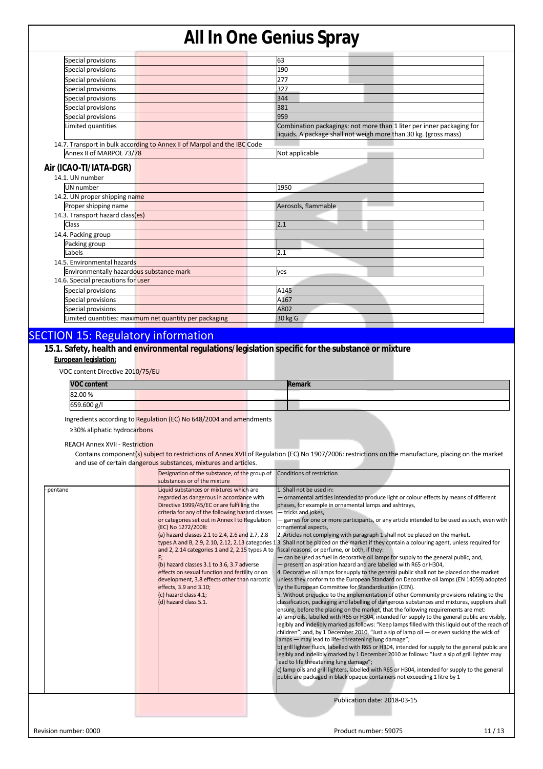| Special provisions                        |                                                                          | 63                                                                                                                                        |
|-------------------------------------------|--------------------------------------------------------------------------|-------------------------------------------------------------------------------------------------------------------------------------------|
| Special provisions                        |                                                                          | 190                                                                                                                                       |
| Special provisions                        |                                                                          | 277                                                                                                                                       |
| Special provisions                        |                                                                          | 327                                                                                                                                       |
| Special provisions                        |                                                                          | 344                                                                                                                                       |
| Special provisions                        |                                                                          | 381                                                                                                                                       |
| Special provisions                        |                                                                          | 959                                                                                                                                       |
| Limited quantities                        |                                                                          | Combination packagings: not more than 1 liter per inner packaging for<br>liquids. A package shall not weigh more than 30 kg. (gross mass) |
|                                           | 14.7. Transport in bulk according to Annex II of Marpol and the IBC Code |                                                                                                                                           |
| Annex II of MARPOL 73/78                  |                                                                          | Not applicable                                                                                                                            |
| Air (ICAO-TI/IATA-DGR)<br>14.1. UN number |                                                                          |                                                                                                                                           |
|                                           |                                                                          |                                                                                                                                           |
| <b>UN</b> number                          |                                                                          | 1950                                                                                                                                      |
| 14.2. UN proper shipping name             |                                                                          |                                                                                                                                           |
| Proper shipping name                      |                                                                          | Aerosols, flammable                                                                                                                       |
| 14.3. Transport hazard class(es)          |                                                                          |                                                                                                                                           |
| Class                                     |                                                                          | 2.1                                                                                                                                       |
| 14.4. Packing group                       |                                                                          |                                                                                                                                           |
| Packing group                             |                                                                          |                                                                                                                                           |
| Labels                                    |                                                                          | 2.1                                                                                                                                       |
| 14.5. Environmental hazards               |                                                                          |                                                                                                                                           |
| Environmentally hazardous substance mark  |                                                                          | ves                                                                                                                                       |
| 14.6. Special precautions for user        |                                                                          |                                                                                                                                           |
| Special provisions                        |                                                                          | A145                                                                                                                                      |
| Special provisions                        |                                                                          | A167                                                                                                                                      |
|                                           |                                                                          |                                                                                                                                           |
| Special provisions                        | Limited quantities: maximum net quantity per packaging                   | A802<br>30 kg G                                                                                                                           |

## SECTION 15: Regulatory information

## **15.1. Safety, health and environmental regulations/legislation specific for the substance or mixture**

#### **European legislation:**

VOC content Directive 2010/75/EU

| <b>VOC content</b> |  | Remark |  |
|--------------------|--|--------|--|
| 82.00%             |  |        |  |
| 659.600 g/l        |  |        |  |

Ingredients according to Regulation (EC) No 648/2004 and amendments

≥30% aliphatic hydrocarbons

REACH Annex XVII - Restriction

Contains component(s) subject to restrictions of Annex XVII of Regulation (EC) No 1907/2006: restrictions on the manufacture, placing on the market and use of certain dangerous substances, mixtures and articles.

|                       | Designation of the substance, of the group of Conditions of restriction<br>substances or of the mixture                                                                                                                                                                                                                                                                                                                                                                                                                                                                                                                                                                                                                                                                                                                                                                                                                                                                                                                                                                                                                                                                                                                                                                                                                                                                                                                                                                                                                                                                                                                                                                                                                                                                                                                                                                                                                                                                                                                                                                                                                                                                                                                                                                                                                                                                                                                                                                                                                                                                                                                                                                                            |
|-----------------------|----------------------------------------------------------------------------------------------------------------------------------------------------------------------------------------------------------------------------------------------------------------------------------------------------------------------------------------------------------------------------------------------------------------------------------------------------------------------------------------------------------------------------------------------------------------------------------------------------------------------------------------------------------------------------------------------------------------------------------------------------------------------------------------------------------------------------------------------------------------------------------------------------------------------------------------------------------------------------------------------------------------------------------------------------------------------------------------------------------------------------------------------------------------------------------------------------------------------------------------------------------------------------------------------------------------------------------------------------------------------------------------------------------------------------------------------------------------------------------------------------------------------------------------------------------------------------------------------------------------------------------------------------------------------------------------------------------------------------------------------------------------------------------------------------------------------------------------------------------------------------------------------------------------------------------------------------------------------------------------------------------------------------------------------------------------------------------------------------------------------------------------------------------------------------------------------------------------------------------------------------------------------------------------------------------------------------------------------------------------------------------------------------------------------------------------------------------------------------------------------------------------------------------------------------------------------------------------------------------------------------------------------------------------------------------------------------|
| pentane               | 1. Shall not be used in:<br>Liquid substances or mixtures which are<br>regarded as dangerous in accordance with<br>- ornamental articles intended to produce light or colour effects by means of different<br>Directive 1999/45/EC or are fulfilling the<br>phases, for example in ornamental lamps and ashtrays,<br>criteria for any of the following hazard classes<br>- tricks and jokes,<br>games for one or more participants, or any article intended to be used as such, even with<br>or categories set out in Annex I to Regulation<br>(EC) No 1272/2008:<br>ornamental aspects,<br>(a) hazard classes 2.1 to 2.4, 2.6 and 2.7, 2.8<br>2. Articles not complying with paragraph 1 shall not be placed on the market.<br>types A and B, 2.9, 2.10, 2.12, 2.13 categories 13. Shall not be placed on the market if they contain a colouring agent, unless required for<br>and 2, 2.14 categories 1 and 2, 2.15 types A to fiscal reasons, or perfume, or both, if they:<br>- can be used as fuel in decorative oil lamps for supply to the general public, and,<br>(b) hazard classes 3.1 to 3.6, 3.7 adverse<br>present an aspiration hazard and are labelled with R65 or H304,<br>effects on sexual function and fertility or on<br>4. Decorative oil lamps for supply to the general public shall not be placed on the market<br>unless they conform to the European Standard on Decorative oil lamps (EN 14059) adopted<br>development, 3.8 effects other than narcotic<br>effects, 3.9 and 3.10;<br>by the European Committee for Standardisation (CEN).<br>(c) hazard class 4.1;<br>5. Without prejudice to the implementation of other Community provisions relating to the<br>(d) hazard class 5.1.<br>classification, packaging and labelling of dangerous substances and mixtures, suppliers shall<br>ensure, before the placing on the market, that the following requirements are met:<br>a) lamp oils, labelled with R65 or H304, intended for supply to the general public are visibly,<br>legibly and indelibly marked as follows: "Keep lamps filled with this liquid out of the reach of<br>children"; and, by 1 December 2010, "Just a sip of lamp oil $-$ or even sucking the wick of<br>lamps - may lead to life-threatening lung damage";<br>b) grill lighter fluids, labelled with R65 or H304, intended for supply to the general public are<br>legibly and indelibly marked by 1 December 2010 as follows: "Just a sip of grill lighter may<br>lead to life threatening lung damage";<br>c) lamp oils and grill lighters, labelled with R65 or H304, intended for supply to the general<br>public are packaged in black opaque containers not exceeding 1 litre by 1 |
|                       | Publication date: 2018-03-15                                                                                                                                                                                                                                                                                                                                                                                                                                                                                                                                                                                                                                                                                                                                                                                                                                                                                                                                                                                                                                                                                                                                                                                                                                                                                                                                                                                                                                                                                                                                                                                                                                                                                                                                                                                                                                                                                                                                                                                                                                                                                                                                                                                                                                                                                                                                                                                                                                                                                                                                                                                                                                                                       |
| Revision number: 0000 | 11/13<br>Product number: 59075                                                                                                                                                                                                                                                                                                                                                                                                                                                                                                                                                                                                                                                                                                                                                                                                                                                                                                                                                                                                                                                                                                                                                                                                                                                                                                                                                                                                                                                                                                                                                                                                                                                                                                                                                                                                                                                                                                                                                                                                                                                                                                                                                                                                                                                                                                                                                                                                                                                                                                                                                                                                                                                                     |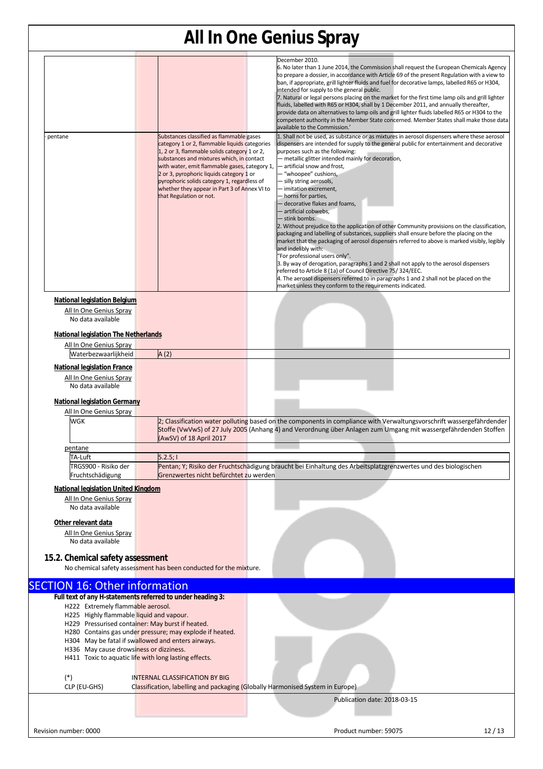|                                                                                                                                                                                                                                                                                                                                                                    |                                                                                                                                                                                                                                                                                                                                                                                                               | <b>All In One Genius Spray</b>                                                                                                                                                                                                                                                                                                                                                                                                                                                                                                                                                                                                                                                                                                                                                                                                                                                                                                                                                                                                                                                                                                                                           |
|--------------------------------------------------------------------------------------------------------------------------------------------------------------------------------------------------------------------------------------------------------------------------------------------------------------------------------------------------------------------|---------------------------------------------------------------------------------------------------------------------------------------------------------------------------------------------------------------------------------------------------------------------------------------------------------------------------------------------------------------------------------------------------------------|--------------------------------------------------------------------------------------------------------------------------------------------------------------------------------------------------------------------------------------------------------------------------------------------------------------------------------------------------------------------------------------------------------------------------------------------------------------------------------------------------------------------------------------------------------------------------------------------------------------------------------------------------------------------------------------------------------------------------------------------------------------------------------------------------------------------------------------------------------------------------------------------------------------------------------------------------------------------------------------------------------------------------------------------------------------------------------------------------------------------------------------------------------------------------|
|                                                                                                                                                                                                                                                                                                                                                                    |                                                                                                                                                                                                                                                                                                                                                                                                               | December 2010.<br>6. No later than 1 June 2014, the Commission shall request the European Chemicals Agency<br>to prepare a dossier, in accordance with Article 69 of the present Regulation with a view to<br>ban, if appropriate, grill lighter fluids and fuel for decorative lamps, labelled R65 or H304,<br>intended for supply to the general public.<br>7. Natural or legal persons placing on the market for the first time lamp oils and grill lighter<br>fluids, labelled with R65 or H304, shall by 1 December 2011, and annually thereafter,<br>provide data on alternatives to lamp oils and grill lighter fluids labelled R65 or H304 to the<br>competent authority in the Member State concerned. Member States shall make those data<br>available to the Commission.'                                                                                                                                                                                                                                                                                                                                                                                     |
| pentane                                                                                                                                                                                                                                                                                                                                                            | Substances classified as flammable gases<br>category 1 or 2, flammable liquids categories<br>1, 2 or 3, flammable solids category 1 or 2,<br>substances and mixtures which, in contact<br>with water, emit flammable gases, category 1,<br>2 or 3, pyrophoric liquids category 1 or<br>pyrophoric solids category 1, regardless of<br>whether they appear in Part 3 of Annex VI to<br>that Regulation or not. | 1. Shall not be used, as substance or as mixtures in aerosol dispensers where these aerosol<br>dispensers are intended for supply to the general public for entertainment and decorative<br>purposes such as the following:<br>- metallic glitter intended mainly for decoration,<br>– artificial snow and frost,<br>- "whoopee" cushions,<br>- silly string aerosols,<br>- imitation excrement,<br>- horns for parties,<br>- decorative flakes and foams,<br>- artificial cobwebs.<br>- stink bombs.<br>2. Without prejudice to the application of other Community provisions on the classification,<br>packaging and labelling of substances, suppliers shall ensure before the placing on the<br>market that the packaging of aerosol dispensers referred to above is marked visibly, legibly<br>and indelibly with:<br>"For professional users only".<br>3. By way of derogation, paragraphs 1 and 2 shall not apply to the aerosol dispensers<br>referred to Article 8 (1a) of Council Directive 75/324/EEC.<br>4. The aerosol dispensers referred to in paragraphs 1 and 2 shall not be placed on the<br>market unless they conform to the requirements indicated. |
| National legislation Belgium<br>All In One Genius Spray<br>No data available<br><b>National legislation The Netherlands</b>                                                                                                                                                                                                                                        |                                                                                                                                                                                                                                                                                                                                                                                                               |                                                                                                                                                                                                                                                                                                                                                                                                                                                                                                                                                                                                                                                                                                                                                                                                                                                                                                                                                                                                                                                                                                                                                                          |
| All In One Genius Spray                                                                                                                                                                                                                                                                                                                                            |                                                                                                                                                                                                                                                                                                                                                                                                               |                                                                                                                                                                                                                                                                                                                                                                                                                                                                                                                                                                                                                                                                                                                                                                                                                                                                                                                                                                                                                                                                                                                                                                          |
| Waterbezwaarlijkheid                                                                                                                                                                                                                                                                                                                                               | A(2)                                                                                                                                                                                                                                                                                                                                                                                                          |                                                                                                                                                                                                                                                                                                                                                                                                                                                                                                                                                                                                                                                                                                                                                                                                                                                                                                                                                                                                                                                                                                                                                                          |
| <b>National legislation France</b><br>All In One Genius Spray<br>No data available<br><b>National legislation Germany</b>                                                                                                                                                                                                                                          |                                                                                                                                                                                                                                                                                                                                                                                                               |                                                                                                                                                                                                                                                                                                                                                                                                                                                                                                                                                                                                                                                                                                                                                                                                                                                                                                                                                                                                                                                                                                                                                                          |
| All In One Genius Spray<br><b>WGK</b>                                                                                                                                                                                                                                                                                                                              | (AwSV) of 18 April 2017                                                                                                                                                                                                                                                                                                                                                                                       | 2; Classification water polluting based on the components in compliance with Verwaltungsvorschrift wassergefährdender<br>Stoffe (VwVwS) of 27 July 2005 (Anhang 4) and Verordnung über Anlagen zum Umgang mit wassergefährdenden Stoffen                                                                                                                                                                                                                                                                                                                                                                                                                                                                                                                                                                                                                                                                                                                                                                                                                                                                                                                                 |
| pentane                                                                                                                                                                                                                                                                                                                                                            |                                                                                                                                                                                                                                                                                                                                                                                                               |                                                                                                                                                                                                                                                                                                                                                                                                                                                                                                                                                                                                                                                                                                                                                                                                                                                                                                                                                                                                                                                                                                                                                                          |
| TA-Luft                                                                                                                                                                                                                                                                                                                                                            | 5.2.5;                                                                                                                                                                                                                                                                                                                                                                                                        |                                                                                                                                                                                                                                                                                                                                                                                                                                                                                                                                                                                                                                                                                                                                                                                                                                                                                                                                                                                                                                                                                                                                                                          |
| TRGS900 - Risiko der<br>Fruchtschädigung                                                                                                                                                                                                                                                                                                                           | Grenzwertes nicht befürchtet zu werden                                                                                                                                                                                                                                                                                                                                                                        | Pentan; Y; Risiko der Fruchtschädigung braucht bei Einhaltung des Arbeitsplatzgrenzwertes und des biologischen                                                                                                                                                                                                                                                                                                                                                                                                                                                                                                                                                                                                                                                                                                                                                                                                                                                                                                                                                                                                                                                           |
| <b>National legislation United Kingdom</b><br>All In One Genius Spray<br>No data available                                                                                                                                                                                                                                                                         |                                                                                                                                                                                                                                                                                                                                                                                                               |                                                                                                                                                                                                                                                                                                                                                                                                                                                                                                                                                                                                                                                                                                                                                                                                                                                                                                                                                                                                                                                                                                                                                                          |
| Other relevant data<br>All In One Genius Spray<br>No data available                                                                                                                                                                                                                                                                                                |                                                                                                                                                                                                                                                                                                                                                                                                               |                                                                                                                                                                                                                                                                                                                                                                                                                                                                                                                                                                                                                                                                                                                                                                                                                                                                                                                                                                                                                                                                                                                                                                          |
| 15.2. Chemical safety assessment                                                                                                                                                                                                                                                                                                                                   | No chemical safety assessment has been conducted for the mixture.                                                                                                                                                                                                                                                                                                                                             |                                                                                                                                                                                                                                                                                                                                                                                                                                                                                                                                                                                                                                                                                                                                                                                                                                                                                                                                                                                                                                                                                                                                                                          |
| <b>SECTION 16: Other information</b>                                                                                                                                                                                                                                                                                                                               |                                                                                                                                                                                                                                                                                                                                                                                                               |                                                                                                                                                                                                                                                                                                                                                                                                                                                                                                                                                                                                                                                                                                                                                                                                                                                                                                                                                                                                                                                                                                                                                                          |
| Full text of any H-statements referred to under heading 3:<br>H222 Extremely flammable aerosol.<br>H225 Highly flammable liquid and vapour.<br>H229 Pressurised container: May burst if heated.<br>H304 May be fatal if swallowed and enters airways.<br>H336 May cause drowsiness or dizziness.<br>H411 Toxic to aquatic life with long lasting effects.<br>$(*)$ | H280 Contains gas under pressure; may explode if heated.<br><b>INTERNAL CLASSIFICATION BY BIG</b>                                                                                                                                                                                                                                                                                                             |                                                                                                                                                                                                                                                                                                                                                                                                                                                                                                                                                                                                                                                                                                                                                                                                                                                                                                                                                                                                                                                                                                                                                                          |
| CLP (EU-GHS)                                                                                                                                                                                                                                                                                                                                                       | Classification, labelling and packaging (Globally Harmonised System in Europe)                                                                                                                                                                                                                                                                                                                                |                                                                                                                                                                                                                                                                                                                                                                                                                                                                                                                                                                                                                                                                                                                                                                                                                                                                                                                                                                                                                                                                                                                                                                          |
|                                                                                                                                                                                                                                                                                                                                                                    |                                                                                                                                                                                                                                                                                                                                                                                                               | Publication date: 2018-03-15                                                                                                                                                                                                                                                                                                                                                                                                                                                                                                                                                                                                                                                                                                                                                                                                                                                                                                                                                                                                                                                                                                                                             |
| Revision number: 0000                                                                                                                                                                                                                                                                                                                                              |                                                                                                                                                                                                                                                                                                                                                                                                               | Product number: 59075<br>12/13                                                                                                                                                                                                                                                                                                                                                                                                                                                                                                                                                                                                                                                                                                                                                                                                                                                                                                                                                                                                                                                                                                                                           |